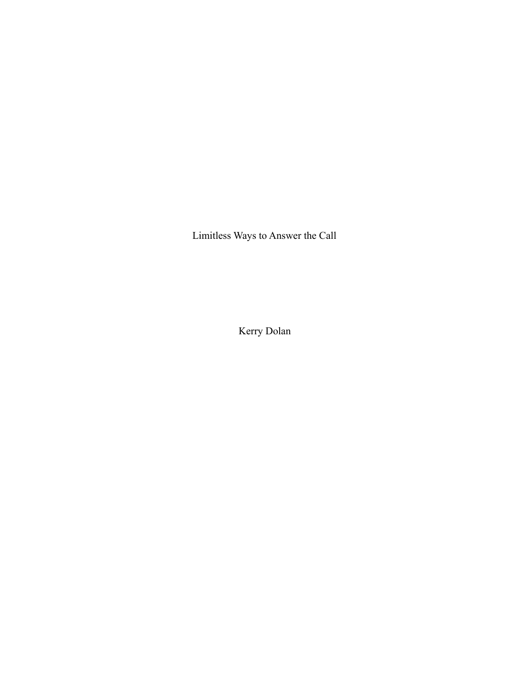Limitless Ways to Answer the Call

Kerry Dolan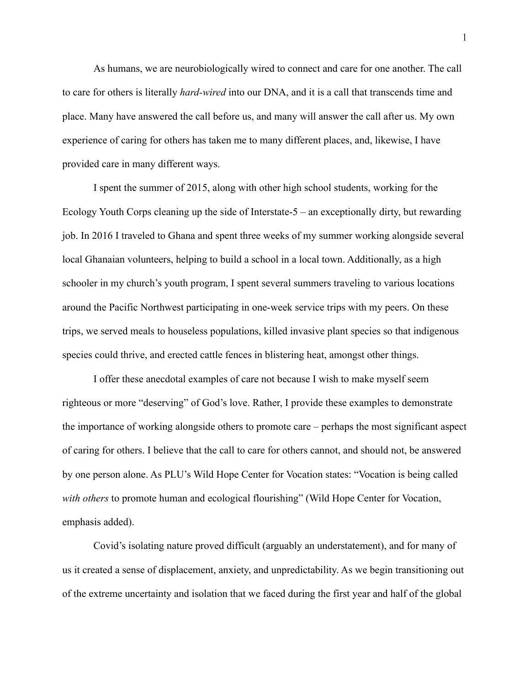As humans, we are neurobiologically wired to connect and care for one another. The call to care for others is literally *hard-wired* into our DNA, and it is a call that transcends time and place. Many have answered the call before us, and many will answer the call after us. My own experience of caring for others has taken me to many different places, and, likewise, I have provided care in many different ways.

I spent the summer of 2015, along with other high school students, working for the Ecology Youth Corps cleaning up the side of Interstate-5 – an exceptionally dirty, but rewarding job. In 2016 I traveled to Ghana and spent three weeks of my summer working alongside several local Ghanaian volunteers, helping to build a school in a local town. Additionally, as a high schooler in my church's youth program, I spent several summers traveling to various locations around the Pacific Northwest participating in one-week service trips with my peers. On these trips, we served meals to houseless populations, killed invasive plant species so that indigenous species could thrive, and erected cattle fences in blistering heat, amongst other things.

I offer these anecdotal examples of care not because I wish to make myself seem righteous or more "deserving" of God's love. Rather, I provide these examples to demonstrate the importance of working alongside others to promote care – perhaps the most significant aspect of caring for others. I believe that the call to care for others cannot, and should not, be answered by one person alone. As PLU's Wild Hope Center for Vocation states: "Vocation is being called *with others* to promote human and ecological flourishing" (Wild Hope Center for Vocation, emphasis added).

Covid's isolating nature proved difficult (arguably an understatement), and for many of us it created a sense of displacement, anxiety, and unpredictability. As we begin transitioning out of the extreme uncertainty and isolation that we faced during the first year and half of the global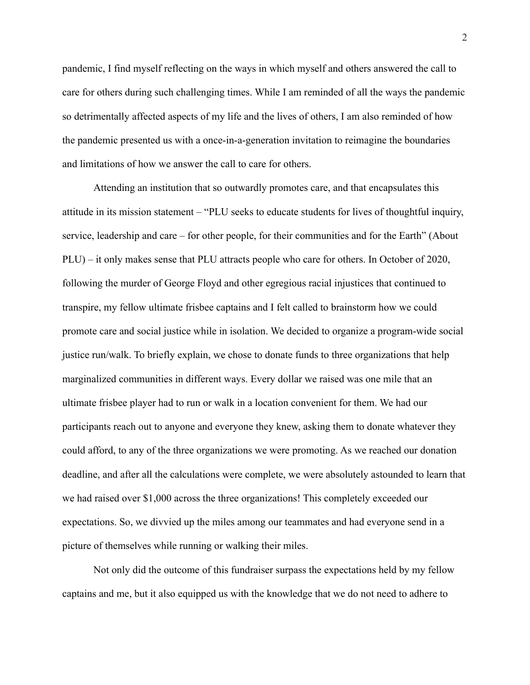pandemic, I find myself reflecting on the ways in which myself and others answered the call to care for others during such challenging times. While I am reminded of all the ways the pandemic so detrimentally affected aspects of my life and the lives of others, I am also reminded of how the pandemic presented us with a once-in-a-generation invitation to reimagine the boundaries and limitations of how we answer the call to care for others.

Attending an institution that so outwardly promotes care, and that encapsulates this attitude in its mission statement – "PLU seeks to educate students for lives of thoughtful inquiry, service, leadership and care – for other people, for their communities and for the Earth" (About PLU) – it only makes sense that PLU attracts people who care for others. In October of 2020, following the murder of George Floyd and other egregious racial injustices that continued to transpire, my fellow ultimate frisbee captains and I felt called to brainstorm how we could promote care and social justice while in isolation. We decided to organize a program-wide social justice run/walk. To briefly explain, we chose to donate funds to three organizations that help marginalized communities in different ways. Every dollar we raised was one mile that an ultimate frisbee player had to run or walk in a location convenient for them. We had our participants reach out to anyone and everyone they knew, asking them to donate whatever they could afford, to any of the three organizations we were promoting. As we reached our donation deadline, and after all the calculations were complete, we were absolutely astounded to learn that we had raised over \$1,000 across the three organizations! This completely exceeded our expectations. So, we divvied up the miles among our teammates and had everyone send in a picture of themselves while running or walking their miles.

Not only did the outcome of this fundraiser surpass the expectations held by my fellow captains and me, but it also equipped us with the knowledge that we do not need to adhere to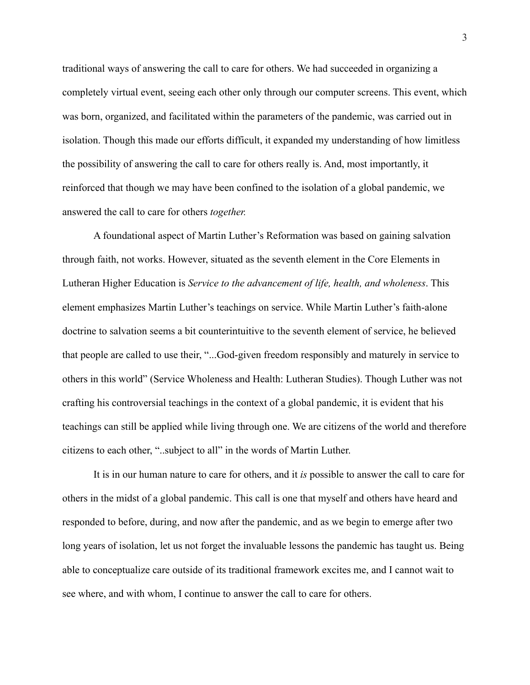traditional ways of answering the call to care for others. We had succeeded in organizing a completely virtual event, seeing each other only through our computer screens. This event, which was born, organized, and facilitated within the parameters of the pandemic, was carried out in isolation. Though this made our efforts difficult, it expanded my understanding of how limitless the possibility of answering the call to care for others really is. And, most importantly, it reinforced that though we may have been confined to the isolation of a global pandemic, we answered the call to care for others *together.*

A foundational aspect of Martin Luther's Reformation was based on gaining salvation through faith, not works. However, situated as the seventh element in the Core Elements in Lutheran Higher Education is *Service to the advancement of life, health, and wholeness*. This element emphasizes Martin Luther's teachings on service. While Martin Luther's faith-alone doctrine to salvation seems a bit counterintuitive to the seventh element of service, he believed that people are called to use their, "...God-given freedom responsibly and maturely in service to others in this world" (Service Wholeness and Health: Lutheran Studies). Though Luther was not crafting his controversial teachings in the context of a global pandemic, it is evident that his teachings can still be applied while living through one. We are citizens of the world and therefore citizens to each other, "..subject to all" in the words of Martin Luther.

It is in our human nature to care for others, and it *is* possible to answer the call to care for others in the midst of a global pandemic. This call is one that myself and others have heard and responded to before, during, and now after the pandemic, and as we begin to emerge after two long years of isolation, let us not forget the invaluable lessons the pandemic has taught us. Being able to conceptualize care outside of its traditional framework excites me, and I cannot wait to see where, and with whom, I continue to answer the call to care for others.